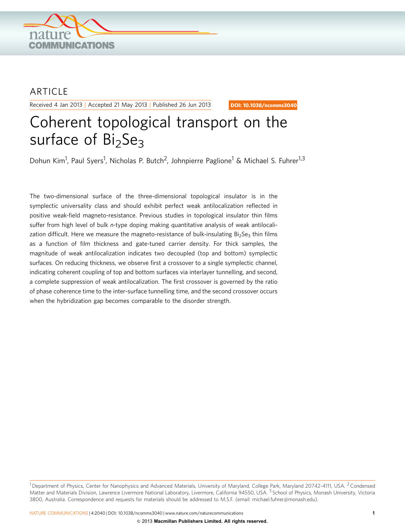

# **ARTICLE**

Received 4 Jan 2013 | Accepted 21 May 2013 | Published 26 Jun 2013

DOI: 10.1038/ncomms3040

# Coherent topological transport on the surface of  $Bi<sub>2</sub>Se<sub>3</sub>$

Dohun Kim<sup>1</sup>, Paul Syers<sup>1</sup>, Nicholas P. Butch<sup>2</sup>, Johnpierre Paglione<sup>1</sup> & Michael S. Fuhrer<sup>1,3</sup>

The two-dimensional surface of the three-dimensional topological insulator is in the symplectic universality class and should exhibit perfect weak antilocalization reflected in positive weak-field magneto-resistance. Previous studies in topological insulator thin films suffer from high level of bulk n-type doping making quantitative analysis of weak antilocalization difficult. Here we measure the magneto-resistance of bulk-insulating  $Bi<sub>2</sub>Se<sub>3</sub>$  thin films as a function of film thickness and gate-tuned carrier density. For thick samples, the magnitude of weak antilocalization indicates two decoupled (top and bottom) symplectic surfaces. On reducing thickness, we observe first a crossover to a single symplectic channel, indicating coherent coupling of top and bottom surfaces via interlayer tunnelling, and second, a complete suppression of weak antilocalization. The first crossover is governed by the ratio of phase coherence time to the inter-surface tunnelling time, and the second crossover occurs when the hybridization gap becomes comparable to the disorder strength.

 $1$ Department of Physics, Center for Nanophysics and Advanced Materials, University of Maryland, College Park, Maryland 20742-4111, USA.  $2$  Condensed Matter and Materials Division, Lawrence Livermore National Laboratory, Livermore, California 94550, USA. <sup>3</sup> School of Physics, Monash University, Victoria 3800, Australia. Correspondence and requests for materials should be addressed to M.S.F. (email: [michael.fuhrer@monash.edu](mailto:michael.fuhrer@monash.edu)).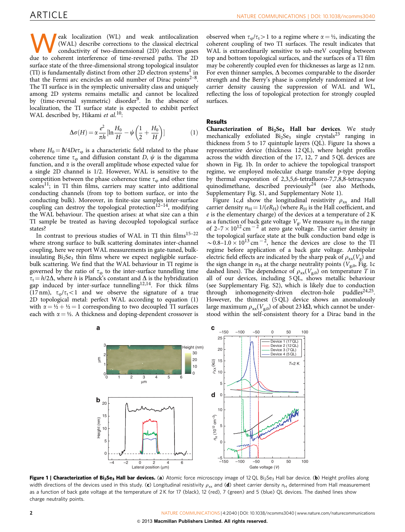<span id="page-1-0"></span>eak localization (WL) and weak antilocalization (WAL) describe corrections to the classical electrical conductivity of two-dimensional (2D) electron gases due to coherent interference of time-reversed paths. The 2D surface state of the three-dimensional strong topological insulator (TI) is fundamentally distinct from other  $2\overline{D}$  electron systems<sup>[1](#page-4-0)</sup> in that the Fermi arc encircles an odd number of Dirac points<sup> $2-8$ </sup>. The TI surface is in the symplectic universality class and uniquely among 2D systems remains metallic and cannot be localized by (time-reversal symmetric) disorder<sup>[9](#page-4-0)</sup>. In the absence of localization, the TI surface state is expected to exhibit perfect WAL described by, Hikami et al.<sup>[10](#page-4-0)</sup>:

$$
\Delta \sigma(H) = \alpha \frac{e^2}{\pi h} \left[ \ln \frac{H_0}{H} - \psi \left( \frac{1}{2} + \frac{H_0}{H} \right) \right] \tag{1}
$$

where  $H_0 = \hbar/4De\tau_0$  is a characteristic field related to the phase coherence time  $\tau_{\rm o}$  and diffusion constant D,  $\psi$  is the digamma function, and  $\alpha$  is the overall amplitude whose expected value for a single 2D channel is 1/2. However, WAL is sensitive to the competition between the phase coherence time  $\tau_{\omega}$  and other time  $scales<sup>11</sup>$  $scales<sup>11</sup>$  $scales<sup>11</sup>$ ; in TI thin films, carriers may scatter into additional conducting channels (from top to bottom surface, or into the conducting bulk). Moreover, in finite-size samples inter-surface coupling can destroy the topological protection<sup>[12–14](#page-4-0)</sup>, modifying the WAL behaviour. The question arises: at what size can a thin TI sample be treated as having decoupled topological surface states?

In contrast to previous studies of WAL in TI thin films<sup>15-22</sup> where strong surface to bulk scattering dominates inter-channel coupling, here we report WAL measurements in gate-tuned, bulkinsulating  $Bi<sub>2</sub>Se<sub>3</sub>$  thin films where we expect negligible surfacebulk scattering. We find that the WAL behaviour in TI regime is governed by the ratio of  $\tau_{\varphi}$  to the inter-surface tunnelling time  $\tau_t = h/2\Delta$ , where h is Planck's constant and  $\Delta$  is the hybridization gap induced by inter-surface tunnelling<sup>12,14</sup>. For thick films (17 nm),  $\tau_0/\tau_1$ <1 and we observe the signature of a true 2D topological metal: perfect WAL according to equation (1) with  $\alpha = \frac{1}{2} + \frac{1}{2} = 1$  corresponding to two decoupled TI surfaces each with  $\alpha = \frac{1}{2}$ . A thickness and doping-dependent crossover is

observed when  $\tau_{0}/\tau_{t} > 1$  to a regime where  $\alpha = \frac{1}{2}$ , indicating the coherent coupling of two TI surfaces. The result indicates that WAL is extraordinarily sensitive to sub-meV coupling between top and bottom topological surfaces, and the surfaces of a TI film may be coherently coupled even for thicknesses as large as 12 nm. For even thinner samples,  $\Delta$  becomes comparable to the disorder strength and the Berry's phase is completely randomized at low carrier density causing the suppression of WAL and WL, reflecting the loss of topological protection for strongly coupled surfaces.

#### Results

Characterization of  $Bi<sub>2</sub>Se<sub>3</sub>$  Hall bar devices. We study mechanically exfoliated  $Bi<sub>2</sub>Se<sub>3</sub>$  single crystals<sup>[23](#page-4-0)</sup> ranging in thickness from 5 to 17 quintuple layers (QL). Figure 1a shows a representative device (thickness 12 QL), where height profiles across the width direction of the 17, 12, 7 and 5 QL devices are shown in Fig. 1b. In order to achieve the topological transport regime, we employed molecular charge transfer p-type doping by thermal evaporation of 2,3,5,6-tetrafluoro-7,7,8,8-tetracyano quinodimethane, described previously<sup>[24](#page-4-0)</sup> (see also Methods, Supplementary Fig. S1, and Supplementary Note 1).

Figure 1c,d show the longitudinal resistivity  $\rho_{xx}$  and Hall carrier density  $n_H = 1/(eR_H)$  (where  $R_H$  is the Hall coefficient, and e is the elementary charge) of the devices at a temperature of 2 K as a function of back gate voltage  $V_{\rm g}$ . We measure  $n_{\rm H}$  in the range of  $2-7 \times 10^{12}$  cm<sup>-2</sup> at zero gate voltage. The carrier density in the topological surface state at the bulk conduction band edge is  $\sim 0.8-1.0 \times 10^{13}$  cm<sup>-2</sup>, hence the devices are close to the TI regime before application of a back gate voltage. Ambipolar electric field effects are indicated by the sharp peak of  $\rho_{xx}(V_g)$  and the sign change in  $n_H$  at the charge neutrality points ( $V_{g,0}$ , Fig. 1c dashed lines). The dependence of  $\rho_{xx}(V_{g,0})$  on temperature T in all of our devices, including 5 QL, shows metallic behaviour (see Supplementary Fig. S2), which is likely due to conduction through inhomogeneity-driven electron-hole puddles<sup>24,25</sup>. However, the thinnest (5 QL) device shows an anomalously large maximum  $\rho_{xx}(V_{g,0})$  of about 23 k $\Omega$ , which cannot be understood within the self-consistent theory for a Dirac band in the



Figure 1 | Characterization of Bi<sub>2</sub>Se<sub>3</sub> Hall bar devices. (a) Atomic force microscopy image of 12 QL Bi<sub>2</sub>Se<sub>3</sub> Hall bar device. (b) Height profiles along width directions of the devices used in this study. (c) Longitudinal resistivity  $\rho_{xx}$  and (d) sheet carrier density  $n_H$  determined from Hall measurement as a function of back gate voltage at the temperature of 2K for 17 (black), 12 (red), 7 (green) and 5 (blue) QL devices. The dashed lines show charge neutrality points.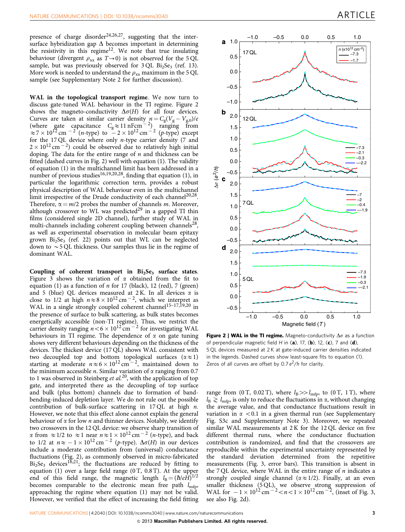presence of charge disorder<sup>[24,26,27](#page-4-0)</sup>, suggesting that the intersurface hybridization gap  $\Delta$  becomes important in determining the resistivity in this regime<sup>12</sup>. We note that true insulating behaviour (divergent  $\rho_{xx}$  as  $T\rightarrow 0$ ) is not observed for the 5 QL sample, but was previously observed for  $3$  OL Bi<sub>2</sub>Se<sub>3</sub> ([ref. 13](#page-4-0)). More work is needed to understand the  $\rho_{xx}$  maximum in the 5 QL sample (see Supplementary Note 2 for further discussion).

WAL in the topological transport regime. We now turn to discuss gate-tuned WAL behaviour in the TI regime. Figure 2 shows the magneto-conductivity  $\Delta \sigma(H)$  for all four devices. Curves are taken at similar carrier density  $n = C_g (V_g - V_{g,0})/e$ (where gate capacitance  $C_g \approx 11 \text{ nFcm}^{-2}$ ) ranging from  $\approx$  7  $\times$  10<sup>12</sup> cm  $^{-2}$  (*n*-type) to  $-2 \times 10^{12}$  cm  $^{-2}$  (*p*-type) except for the 17 QL device where only n-type carrier density (7 and  $2 \times 10^{12}$  cm $^{-2}$ ) could be observed due to relatively high initial doping. The data for the entire range of  $n$  and thickness can be fitted (dashed curves in Fig. 2) well with equation (1). The validity of equation (1) in the multichannel limit has been addressed in a number of previous studies<sup>[16,19,20,28](#page-4-0)</sup>, finding that equation (1), in particular the logarithmic correction term, provides a robust physical description of WAL behaviour even in the multichannel limit irrespective of the Drude conductivity of each channel<sup>20,28</sup>. Therefore,  $\alpha = m/2$  probes the number of channels m. Moreover, although crossover to WL was predicted<sup>[29](#page-4-0)</sup> in a gapped TI thin films (considered single 2D channel), further study of WAL in multi-channels including coherent coupling between channels<sup>28</sup>, as well as experimental observation in molecular beam epitaxy grown  $Bi<sub>2</sub>Se<sub>3</sub>$  [\(ref. 22\)](#page-4-0) points out that WL can be neglected down to  $\sim$  5 QL thickness. Our samples thus lie in the regime of dominant WAL.

Coupling of coherent transport in  $Bi<sub>2</sub>Se<sub>3</sub>$  surface states. [Figure 3](#page-3-0) shows the variation of  $\alpha$  obtained from the fit to equation (1) as a function of  $n$  for 17 (black), 12 (red), 7 (green) and 5 (blue) QL devices measured at 2 K. In all devices  $\alpha$  is close to 1/2 at high  $n \approx 8 \times 10^{12}$  cm<sup>-2</sup>, which we interpret as WAL in a single strongly coupled coherent channel<sup>15-17,19,20</sup> in the presence of surface to bulk scattering, as bulk states becomes energetically accessible (non-TI regime). Thus, we restrict the carrier density ranging  $n < 6 \times 10^{12}$  cm  $^{-2}$  for investigating WAL behaviours in TI regime. The dependence of  $\alpha$  on gate tuning shows very different behaviours depending on the thickness of the devices. The thickest device (17 QL) shows WAL consistent with two decoupled top and bottom topological surfaces  $(\alpha \approx 1)$ starting at moderate  $n \approx 6 \times 10^{12} \text{ cm}^{-2}$ , maintained down to the minimum accessible *n*. Similar variation of  $\alpha$  ranging from 0.7 to 1 was observed in Steinberg et  $al$ <sup>[20](#page-4-0)</sup>, with the application of top gate, and interpreted there as the decoupling of top surface and bulk (plus bottom) channels due to formation of bandbending-induced depletion layer. We do not rule out the possible contribution of bulk-surface scattering in 17 QL at high n. However, we note that this effect alone cannot explain the general behaviour of  $\alpha$  for low *n* and thinner devices. Notably, we identify two crossovers in the 12 QL device: we observe sharp transition of  $\alpha$  from  $\approx$  1/2 to  $\approx$  1 near  $n \approx$  1  $\times$  10<sup>12</sup> cm<sup>-2</sup> (*n*-type), and back to 1/2 at  $n \approx -1 \times 10^{12}$  cm  $^{-2}$  (p-type).  $\Delta \sigma(H)$  in our devices include a moderate contribution from (universal) conductance fluctuations (Fig. 2), as commonly observed in micro-fabricated  $Bi<sub>2</sub>Se<sub>3</sub>$  devices<sup>[16,21](#page-4-0)</sup>; the fluctuations are reduced by fitting to equation (1) over a large field range  $(0 \text{ T}, 0.8 \text{ T})$ . At the upper end of this field range, the magnetic length  $l_B = (\hbar/eH)^{1/2}$ becomes comparable to the electronic mean free path  $l_{\text{mfp}}$ , approaching the regime where equation (1) may not be valid. However, we verified that the effect of increasing the field fitting



**Figure 2 | WAL in the TI regime.** Magneto-conductivity  $\Delta\sigma$  as a function of perpendicular magnetic field H in  $(a)$ , 17,  $(b)$ , 12,  $(c)$ , 7 and  $(d)$ , 5 QL devices measured at 2 K at gate-induced carrier densities indicated in the legends. Dashed curves show least-square fits to equation (1). Zeros of all curves are offset by  $0.7 e^2/h$  for clarity.

range from (0 T, 0.02 T), where  $l_B \gg l_{\text{mfp}}$ , to (0 T, 1 T), where  $l_{\rm B} \gtrsim l_{\rm mfp}$  is only to reduce the fluctuations in  $\alpha$ , without changing the average value, and that conductance fluctuations result in variation in  $\alpha$  < 0.1 in a given thermal run (see Supplementary Fig. S3c and Supplementary Note 3). Moreover, we repeated similar WAL measurements at 2 K for the 12 QL device on five different thermal runs, where the conductance fluctuation contribution is randomized, and find that the crossovers are reproducible within the experimental uncertainty represented by the standard deviation determined from the repetitive measurements ([Fig. 3](#page-3-0), error bars). This transition is absent in the 7 QL device, where WAL in the entire range of  $n$  indicates a strongly coupled single channel ( $\alpha \approx 1/2$ ). Finally, at an even smaller thickness (5 QL), we observe strong suppression of WAL for  $-1 \times 10^{12}$  cm<sup>-2</sup> < n < 1  $\times$  10<sup>12</sup> cm<sup>-2</sup>, (inset of [Fig. 3,](#page-3-0) see also Fig. 2d).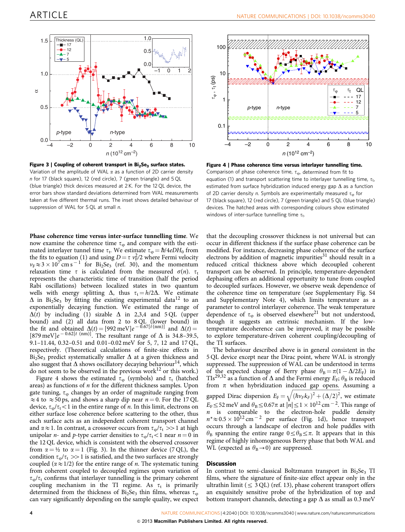<span id="page-3-0"></span>

Figure 3 | Coupling of coherent transport in  $Bi<sub>2</sub>Se<sub>3</sub>$  surface states. Variation of the amplitude of WAL  $\alpha$  as a function of 2D carrier density n for 17 (black square), 12 (red circle), 7 (green triangle) and 5 QL (blue triangle) thick devices measured at 2 K. For the 12 QL device, the error bars show standard deviations determined from WAL measurements taken at five different thermal runs. The inset shows detailed behaviour of suppression of WAL for 5 QL at small n.

Phase coherence time versus inter-surface tunnelling time. We now examine the coherence time  $\tau_{\varphi}$  and compare with the estimated interlayer tunnel time  $\tau_t$ . We estimate  $\tau_{\varphi} = \hbar / 4eDH_0$  from the fits to equation (1) and using  $D \! = \! \tau \, \nu_{\rm F}^2/2$  where Fermi velocity  $v_F \approx 3 \times 10^7$  cm s<sup>-1</sup> for Bi<sub>2</sub>Se<sub>3</sub> ([ref. 30](#page-4-0)), and the momentum relaxation time  $\tau$  is calculated from the measured  $\sigma(n)$ .  $\tau_t$ represents the characteristic time of transition (half the period Rabi oscillations) between localized states in two quantum wells with energy splitting  $\Delta$ , thus  $\tau_t = h/2\Delta$ . We estimate  $\Delta$  in Bi<sub>2</sub>Se<sub>3</sub> by fitting the existing experimental data<sup>[12](#page-4-0)</sup> to an exponentially decaying function. We estimated the range of  $\Delta(t)$  by including (1) sizable  $\Delta$  in 2,3,4 and 5 QL (upper bound) and (2) all data from 2 to 8 QL (lower bound) in the fit and obtained  $\Delta(t) = [992 \text{ meV}]e^{-0.67[t(\text{nm})]}$  and  $\Delta(t) =$ [879 meV] $e^{-0.62[t \text{ (nm)}]}$ . The resultant range of  $\Delta$  is 34.8–39.5, 9.1–11.44, 0.32–0.51 and 0.01–0.02 meV for 5, 7, 12 and 17 QL, respectively. (Theoretical calculations of finite-size effects in Bi<sub>2</sub>Se<sub>3</sub> predict systematically smaller  $\Delta$  at a given thickness and also suggest that  $\Delta$  shows oscillatory decaying behaviour<sup>[14](#page-4-0)</sup>, which do not seem to be observed in the previous work $^{12}$  $^{12}$  $^{12}$  or this work.)

Figure 4 shows the estimated  $\tau_{\varphi}$  (symbols) and  $\tau_t$  (hatched areas) as functions of  $n$  for the different thickness samples. Upon gate tuning,  $\tau_{\omega}$  changes by an order of magnitude ranging from  $\approx$  4 to  $\approx$  50 ps, and shows a sharp dip near  $n = 0$ . For the 17 QL device,  $\tau_{\text{o}}/\tau_{\text{t}} < 1$  in the entire range of *n*. In this limit, electrons on either surface lose coherence before scattering to the other, thus each surface acts as an independent coherent transport channel and  $\alpha \approx 1$ . In contrast, a crossover occurs from  $\tau_{\varphi}/\tau_t >> 1$  at high unipolar *n*- and *p*-type carrier densities to  $\tau_{\varphi}/\tau_t < 1$  near  $n = 0$  in the 12 QL device, which is consistent with the observed crossover from  $\alpha = \frac{1}{2}$  to  $\alpha = 1$  (Fig. 3). In the thinner device (7 QL), the condition  $\tau_{\varphi}/\tau_t >> 1$  is satisfied, and the two surfaces are strongly coupled ( $\alpha \approx 1/2$ ) for the entire range of *n*. The systematic tuning from coherent coupled to decoupled regimes upon variation of  $\tau_{\varphi}/\tau_{\rm t}$  confirms that interlayer tunnelling is the primary coherent coupling mechanism in the TI regime. As  $\tau_t$  is primarily determined from the thickness of Bi<sub>2</sub>Se<sub>3</sub> thin films, whereas  $\tau_{\varphi}$ can vary significantly depending on the sample quality, we expect



Figure 4 | Phase coherence time versus interlayer tunnelling time. Comparison of phase coherence time,  $\tau_{\varphi}$ , determined from fit to equation (1) and transport scattering time to interlayer tunnelling time,  $\tau_t$ , estimated from surface hybridization induced energy gap  $\Delta$  as a function of 2D carrier density n. Symbols are experimentally measured  $\tau_{\rm o}$  for 17 (black square), 12 (red circle), 7 (green triangle) and 5 QL (blue triangle) devices. The hatched areas with corresponding colours show estimated windows of inter-surface tunnelling time  $\tau_t$ .

that the decoupling crossover thickness is not universal but can occur in different thickness if the surface phase coherence can be modified. For instance, decreasing phase coherence of the surface electrons by addition of magnetic impurities<sup>[31](#page-4-0)</sup> should result in a reduced critical thickness above which decoupled coherent transport can be observed. In principle, temperature-dependent dephasing offers an additional opportunity to tune from coupled to decoupled surfaces. However, we observe weak dependence of the coherence time on temperature (see Supplementary Fig. S4 and Supplementary Note 4), which limits temperature as a parameter to control interlayer coherence. The weak temperature dependence of  $\tau_{\varphi}$  is observed elsewhere<sup>[21](#page-4-0)</sup> but not understood, though it suggests an extrinsic mechanism. If the lowtemperature decoherence can be improved, it may be possible to explore temperature-driven coherent coupling/decoupling of the TI surfaces.

The behaviour described above is in general consistent in the 5 QL device except near the Dirac point, where WAL is strongly suppressed. The suppression of WAL can be understood in terms of the expected change of Berry phase  $\theta_B = \pi(1 - \Delta/2E_F)$  in TIs<sup>[29,32](#page-4-0)</sup> as a function of  $\Delta$  and the Fermi energy  $E_F$ ;  $\theta_B$  is reduced from  $\pi$  when hybridization induced gap opens. Assuming a gapped Dirac dispersion  $E_F =$  $\frac{f_{\text{ref}}}{f_{\text{ref}}}$  $\sqrt{(\hbar v_F k_F)^2 + (\Delta/2)^2}$ , we estimate  $E_F \leq 52$  meV and  $\theta_B \leq 0.67\pi$  at  $|n| \leq 1 \times 10^{12}$  cm<sup>-2</sup>. This range of  $n$  is comparable to the electron-hole puddle density  $n^*\approx 0.5 \times 10^{12}$  cm<sup>-2</sup> per surface ([Fig. 1d](#page-1-0)), hence transport occurs through a landscape of electron and hole puddles with  $\theta_B$  spanning the entire range  $0 \leq \theta_B \leq \pi$ . It appears that in this regime of highly inhomogeneous Berry phase that both WAL and WL (expected as  $\theta_B \rightarrow 0$ ) are suppressed.

#### **Discussion**

In contrast to semi-classical Boltzmann transport in  $Bi<sub>2</sub>Se<sub>3</sub>$  TI films, where the signature of finite-size effect appear only in the ultrathin limit ( $\leq$  3 QL) ([ref. 13\)](#page-4-0), phase coherent transport offers an exquisitely sensitive probe of the hybridization of top and bottom transport channels, detecting a gap  $\Delta$  as small as 0.3 meV